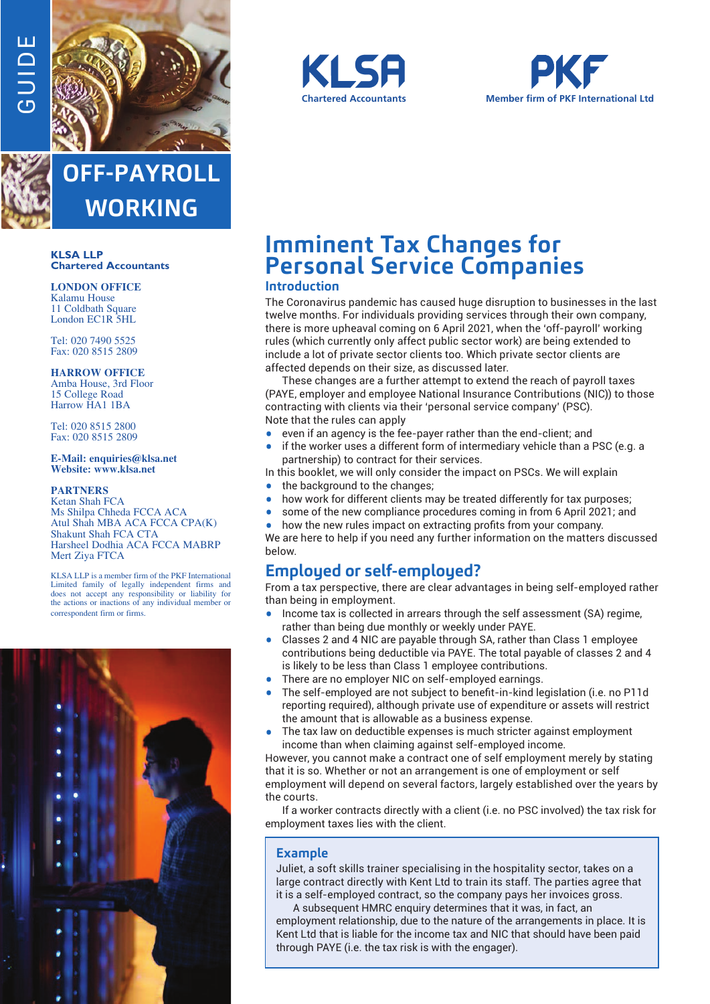



**OFF-PAYROLL WORKING**

#### **KLSA LLP Chartered Accountants**

#### **LONDON OFFICE** Kalamu House 11 Coldbath Square

London EC1R 5HL

Tel: 020 7490 5525 Fax: 020 8515 2809

### **HARROW OFFICE**

Amba House, 3rd Floor 15 College Road Harrow HA1 1BA

Tel: 020 8515 2800 Fax: 020 8515 2809

#### **E-Mail: enquiries@klsa.net Website: www.klsa.net**

#### **PARTNERS**

Ketan Shah FCA Ms Shilpa Chheda FCCA ACA Atul Shah MBA ACA FCCA CPA(K) Shakunt Shah FCA CTA Harsheel Dodhia ACA FCCA MABRP Mert Ziya FTCA

KLSA LLP is a member firm of the PKF International Limited family of legally independent firms and does not accept any responsibility or liability for the actions or inactions of any individual member or correspondent firm or firms.







# **Imminent Tax Changes for Personal Service Companies**

### **Introduction**

The Coronavirus pandemic has caused huge disruption to businesses in the last twelve months. For individuals providing services through their own company, there is more upheaval coming on 6 April 2021, when the 'off-payroll' working rules (which currently only affect public sector work) are being extended to include a lot of private sector clients too. Which private sector clients are affected depends on their size, as discussed later.

These changes are a further attempt to extend the reach of payroll taxes (PAYE, employer and employee National Insurance Contributions (NIC)) to those contracting with clients via their 'personal service company' (PSC). Note that the rules can apply

- even if an agency is the fee-payer rather than the end-client; and
- if the worker uses a different form of intermediary vehicle than a PSC (e.g. a partnership) to contract for their services.

In this booklet, we will only consider the impact on PSCs. We will explain

- the background to the changes:
- how work for different clients may be treated differently for tax purposes;
- some of the new compliance procedures coming in from 6 April 2021; and
- how the new rules impact on extracting profits from your company. We are here to help if you need any further information on the matters discussed below.

### **Employed or self-employed?**

From a tax perspective, there are clear advantages in being self-employed rather than being in employment.

- Income tax is collected in arrears through the self assessment (SA) regime, rather than being due monthly or weekly under PAYE.
- Classes 2 and 4 NIC are payable through SA, rather than Class 1 employee contributions being deductible via PAYE. The total payable of classes 2 and 4 is likely to be less than Class 1 employee contributions.
- There are no employer NIC on self-employed earnings.
- The self-employed are not subject to benefit-in-kind legislation (i.e. no P11d reporting required), although private use of expenditure or assets will restrict the amount that is allowable as a business expense.
- The tax law on deductible expenses is much stricter against employment income than when claiming against self-employed income.

However, you cannot make a contract one of self employment merely by stating that it is so. Whether or not an arrangement is one of employment or self employment will depend on several factors, largely established over the years by the courts.

If a worker contracts directly with a client (i.e. no PSC involved) the tax risk for employment taxes lies with the client.

### **Example**

Juliet, a soft skills trainer specialising in the hospitality sector, takes on a large contract directly with Kent Ltd to train its staff. The parties agree that it is a self-employed contract, so the company pays her invoices gross.

A subsequent HMRC enquiry determines that it was, in fact, an employment relationship, due to the nature of the arrangements in place. It is Kent Ltd that is liable for the income tax and NIC that should have been paid through PAYE (i.e. the tax risk is with the engager).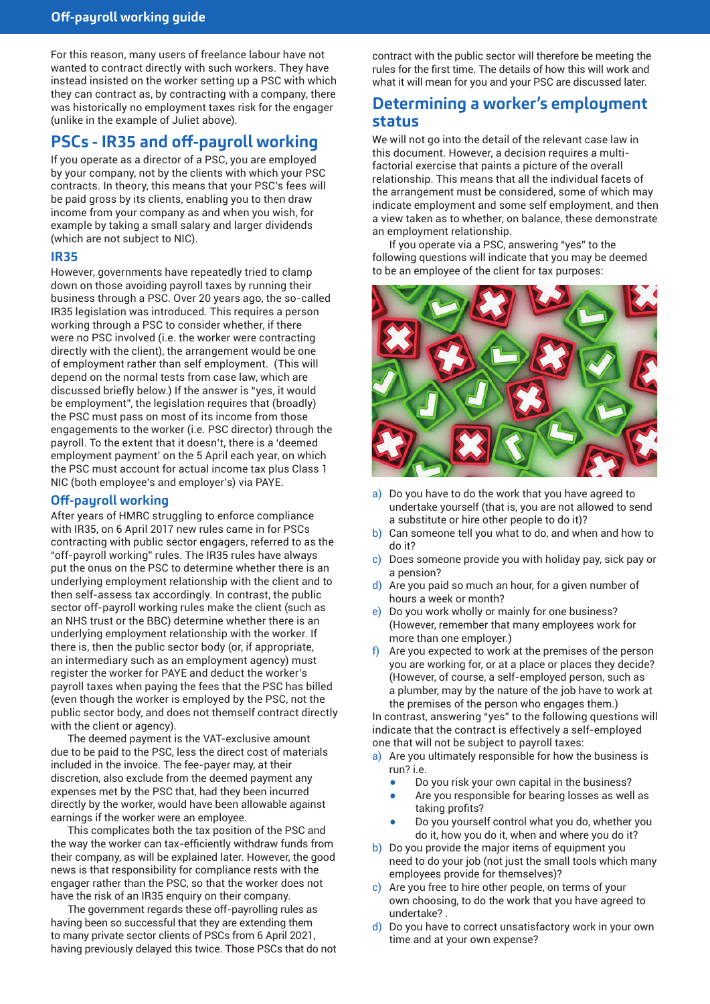For this reason, many users of freelance labour have not wanted to contract directly with such workers. They have instead insisted on the worker setting up a PSC with which they can contract as, by contracting with a company, there was historically no employment taxes risk for the engager (unlike in the example of Juliet above).

### **PSCs - IR35 and off-payroll working**

If you operate as a director of a PSC, you are employed by your company, not by the clients with which your PSC contracts. In theory, this means that your PSC's fees will be paid gross by its clients, enabling you to then draw income from your company as and when you wish, for example by taking a small salary and larger dividends (which are not subject to NIC).

### **IR35**

However, governments have repeatedly tried to clamp down on those avoiding payroll taxes by running their business through a PSC. Over 20 years ago, the so-called IR35 legislation was introduced. This requires a person working through a PSC to consider whether, if there were no PSC involved (i.e. the worker were contracting directly with the client), the arrangement would be one of employment rather than self employment. (This will depend on the normal tests from case law, which are discussed briefly below.) If the answer is "yes, it would be employment", the legislation requires that (broadly) the PSC must pass on most of its income from those engagements to the worker (i.e. PSC director) through the payroll. To the extent that it doesn't, there is a 'deemed employment payment' on the 5 April each year, on which the PSC must account for actual income tax plus Class 1 NIC (both employee's and employer's) via PAYE.

### **Off-payroll working**

After years of HMRC struggling to enforce compliance with IR35, on 6 April 2017 new rules came in for PSCs contracting with public sector engagers, referred to as the "off-payroll working" rules. The IR35 rules have always put the onus on the PSC to determine whether there is an underlying employment relationship with the client and to then self-assess tax accordingly. In contrast, the public sector off-payroll working rules make the client (such as an NHS trust or the BBC) determine whether there is an underlying employment relationship with the worker. If there is, then the public sector body (or, if appropriate, an intermediary such as an employment agency) must register the worker for PAYE and deduct the worker's payroll taxes when paying the fees that the PSC has billed (even though the worker is employed by the PSC, not the public sector body, and does not themself contract directly with the client or agency).

The deemed payment is the VAT-exclusive amount due to be paid to the PSC, less the direct cost of materials included in the invoice. The fee-payer may, at their discretion, also exclude from the deemed payment any expenses met by the PSC that, had they been incurred directly by the worker, would have been allowable against earnings if the worker were an employee.

This complicates both the tax position of the PSC and the way the worker can tax-efficiently withdraw funds from their company, as will be explained later. However, the good news is that responsibility for compliance rests with the engager rather than the PSC, so that the worker does not have the risk of an IR35 enquiry on their company.

The government regards these off-payrolling rules as having been so successful that they are extending them to many private sector clients of PSCs from 6 April 2021, having previously delayed this twice. Those PSCs that do not

contract with the public sector will therefore be meeting the rules for the first time. The details of how this will work and what it will mean for you and your PSC are discussed later.

### **Determining a worker's employment status**

We will not go into the detail of the relevant case law in this document. However, a decision requires a multifactorial exercise that paints a picture of the overall relationship. This means that all the individual facets of the arrangement must be considered, some of which may indicate employment and some self employment, and then a view taken as to whether, on balance, these demonstrate an employment relationship.

If you operate via a PSC, answering "yes" to the following questions will indicate that you may be deemed to be an employee of the client for tax purposes:



- a) Do you have to do the work that you have agreed to undertake yourself (that is, you are not allowed to send a substitute or hire other people to do it)?
- b) Can someone tell you what to do, and when and how to do it?
- c) Does someone provide you with holiday pay, sick pay or a pension?
- d) Are you paid so much an hour, for a given number of hours a week or month?
- e) Do you work wholly or mainly for one business? (However, remember that many employees work for more than one employer.)
- f) Are you expected to work at the premises of the person you are working for, or at a place or places they decide? (However, of course, a self-employed person, such as a plumber, may by the nature of the job have to work at the premises of the person who engages them.)

In contrast, answering "yes" to the following questions will indicate that the contract is effectively a self-employed one that will not be subject to payroll taxes:

- a) Are you ultimately responsible for how the business is run? i.e.
	- Do you risk your own capital in the business?
	- Are you responsible for bearing losses as well as taking profits?
	- Do you yourself control what you do, whether you do it, how you do it, when and where you do it?
- b) Do you provide the major items of equipment you need to do your job (not just the small tools which many employees provide for themselves)?
- c) Are you free to hire other people, on terms of your own choosing, to do the work that you have agreed to undertake? .
- d) Do you have to correct unsatisfactory work in your own time and at your own expense?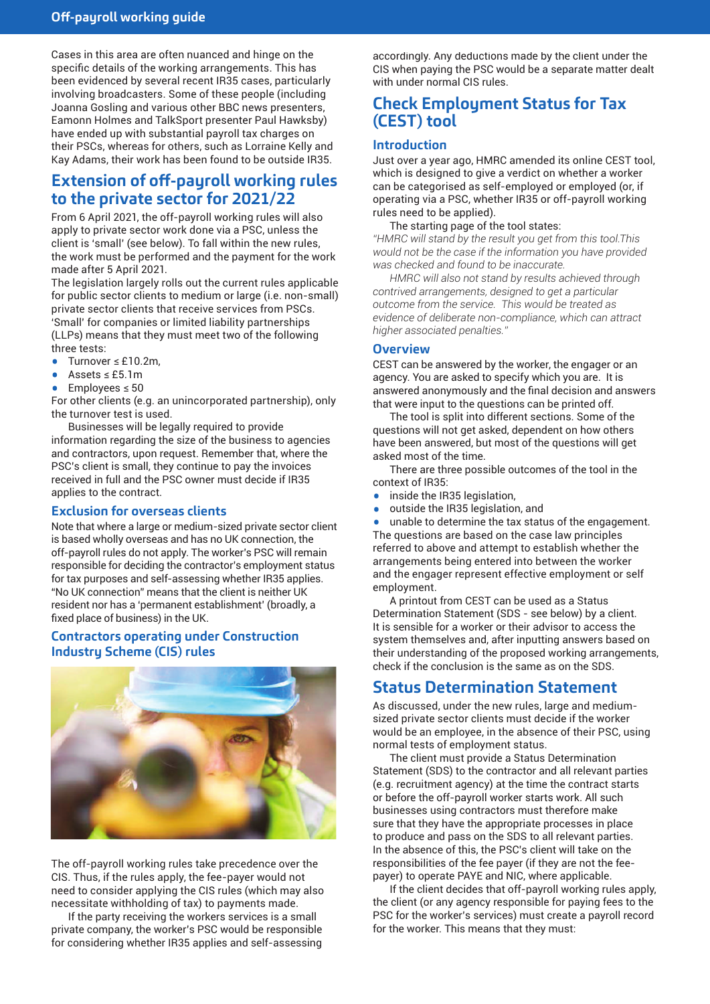Cases in this area are often nuanced and hinge on the specific details of the working arrangements. This has been evidenced by several recent IR35 cases, particularly involving broadcasters. Some of these people (including Joanna Gosling and various other BBC news presenters, Eamonn Holmes and TalkSport presenter Paul Hawksby) have ended up with substantial payroll tax charges on their PSCs, whereas for others, such as Lorraine Kelly and Kay Adams, their work has been found to be outside IR35.

# **Extension of off-payroll working rules to the private sector for 2021/22**

From 6 April 2021, the off-payroll working rules will also apply to private sector work done via a PSC, unless the client is 'small' (see below). To fall within the new rules, the work must be performed and the payment for the work made after 5 April 2021.

The legislation largely rolls out the current rules applicable for public sector clients to medium or large (i.e. non-small) private sector clients that receive services from PSCs. 'Small' for companies or limited liability partnerships (LLPs) means that they must meet two of the following three tests:

- • Turnover <sup>≤</sup> £10.2m,
- Assets  $\leq$  £5.1m
- Employees  $\leq 50$

For other clients (e.g. an unincorporated partnership), only the turnover test is used.

Businesses will be legally required to provide information regarding the size of the business to agencies and contractors, upon request. Remember that, where the PSC's client is small, they continue to pay the invoices received in full and the PSC owner must decide if IR35 applies to the contract.

### **Exclusion for overseas clients**

Note that where a large or medium-sized private sector client is based wholly overseas and has no UK connection, the off-payroll rules do not apply. The worker's PSC will remain responsible for deciding the contractor's employment status for tax purposes and self-assessing whether IR35 applies. "No UK connection" means that the client is neither UK resident nor has a 'permanent establishment' (broadly, a fixed place of business) in the UK.

### **Contractors operating under Construction Industry Scheme (CIS) rules**



The off-payroll working rules take precedence over the CIS. Thus, if the rules apply, the fee-payer would not need to consider applying the CIS rules (which may also necessitate withholding of tax) to payments made.

If the party receiving the workers services is a small private company, the worker's PSC would be responsible for considering whether IR35 applies and self-assessing

accordingly. Any deductions made by the client under the CIS when paying the PSC would be a separate matter dealt with under normal CIS rules.

# **Check Employment Status for Tax (CEST) tool**

### **Introduction**

Just over a year ago, HMRC amended its online CEST tool, which is designed to give a verdict on whether a worker can be categorised as self-employed or employed (or, if operating via a PSC, whether IR35 or off-payroll working rules need to be applied).

#### The starting page of the tool states:

*"HMRC will stand by the result you get from this tool.This would not be the case if the information you have provided was checked and found to be inaccurate.*

*HMRC will also not stand by results achieved through contrived arrangements, designed to get a particular outcome from the service. This would be treated as evidence of deliberate non-compliance, which can attract higher associated penalties."*

### **Overview**

CEST can be answered by the worker, the engager or an agency. You are asked to specify which you are. It is answered anonymously and the final decision and answers that were input to the questions can be printed off.

The tool is split into different sections. Some of the questions will not get asked, dependent on how others have been answered, but most of the questions will get asked most of the time.

There are three possible outcomes of the tool in the context of IR35:

- inside the IR35 legislation,<br>• outside the IR35 legislation
- outside the IR35 legislation, and

• unable to determine the tax status of the engagement. The questions are based on the case law principles referred to above and attempt to establish whether the arrangements being entered into between the worker and the engager represent effective employment or self employment.

A printout from CEST can be used as a Status Determination Statement (SDS - see below) by a client. It is sensible for a worker or their advisor to access the system themselves and, after inputting answers based on their understanding of the proposed working arrangements, check if the conclusion is the same as on the SDS.

### **Status Determination Statement**

As discussed, under the new rules, large and mediumsized private sector clients must decide if the worker would be an employee, in the absence of their PSC, using normal tests of employment status.

The client must provide a Status Determination Statement (SDS) to the contractor and all relevant parties (e.g. recruitment agency) at the time the contract starts or before the off-payroll worker starts work. All such businesses using contractors must therefore make sure that they have the appropriate processes in place to produce and pass on the SDS to all relevant parties. In the absence of this, the PSC's client will take on the responsibilities of the fee payer (if they are not the feepayer) to operate PAYE and NIC, where applicable.

If the client decides that off-payroll working rules apply, the client (or any agency responsible for paying fees to the PSC for the worker's services) must create a payroll record for the worker. This means that they must: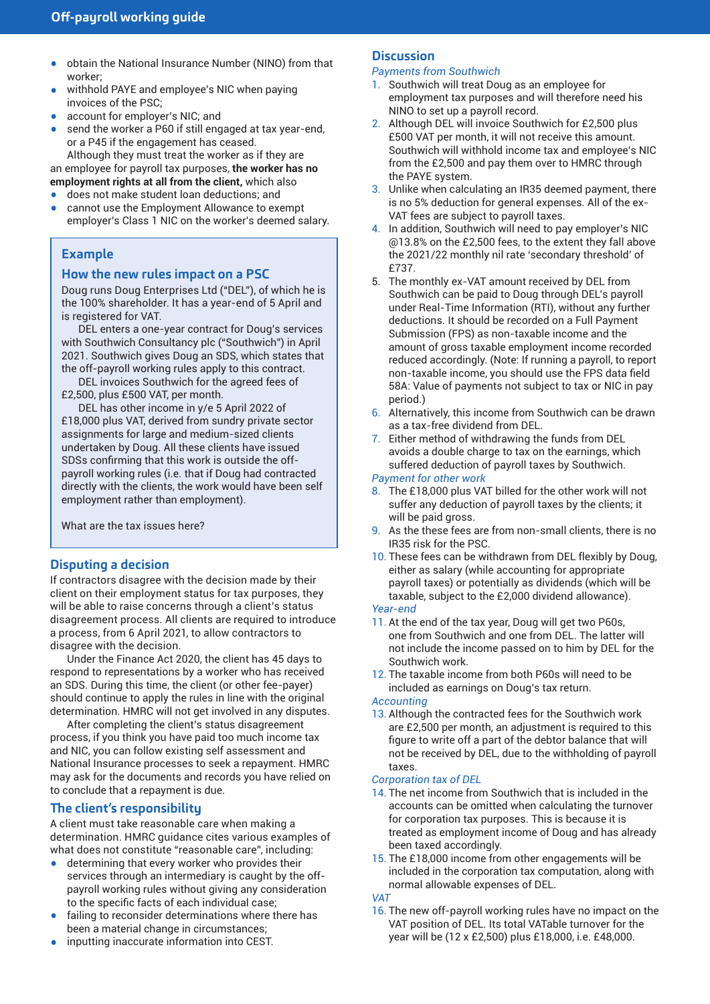- obtain the National Insurance Number (NINO) from that worker;
- withhold PAYE and employee's NIC when paying invoices of the PSC;
- account for employer's NIC; and
- send the worker a P60 if still engaged at tax year-end, or a P45 if the engagement has ceased. Although they must treat the worker as if they are

an employee for payroll tax purposes, **the worker has no employment rights at all from the client,** which also

- does not make student loan deductions; and
- cannot use the Employment Allowance to exempt employer's Class 1 NIC on the worker's deemed salary.

### **Example**

### **How the new rules impact on a PSC**

Doug runs Doug Enterprises Ltd ("DEL"), of which he is the 100% shareholder. It has a year-end of 5 April and is registered for VAT.

DEL enters a one-year contract for Doug's services with Southwich Consultancy plc ("Southwich") in April 2021. Southwich gives Doug an SDS, which states that the off-payroll working rules apply to this contract.

DEL invoices Southwich for the agreed fees of £2,500, plus £500 VAT, per month.

DEL has other income in y/e 5 April 2022 of £18,000 plus VAT, derived from sundry private sector assignments for large and medium-sized clients undertaken by Doug. All these clients have issued SDSs confirming that this work is outside the offpayroll working rules (i.e. that if Doug had contracted directly with the clients, the work would have been self employment rather than employment).

What are the tax issues here?

### **Disputing a decision**

If contractors disagree with the decision made by their client on their employment status for tax purposes, they will be able to raise concerns through a client's status disagreement process. All clients are required to introduce a process, from 6 April 2021, to allow contractors to disagree with the decision.

Under the Finance Act 2020, the client has 45 days to respond to representations by a worker who has received an SDS. During this time, the client (or other fee-payer) should continue to apply the rules in line with the original determination. HMRC will not get involved in any disputes.

After completing the client's status disagreement process, if you think you have paid too much income tax and NIC, you can follow existing self assessment and National Insurance processes to seek a repayment. HMRC may ask for the documents and records you have relied on to conclude that a repayment is due.

### **The client's responsibility**

A client must take reasonable care when making a determination. HMRC guidance cites various examples of what does not constitute "reasonable care", including:

- determining that every worker who provides their services through an intermediary is caught by the offpayroll working rules without giving any consideration to the specific facts of each individual case;
- failing to reconsider determinations where there has been a material change in circumstances;
- inputting inaccurate information into CEST.

#### **Discussion**

### *Payments from Southwich*

- 1. Southwich will treat Doug as an employee for employment tax purposes and will therefore need his NINO to set up a payroll record.
- 2. Although DEL will invoice Southwich for £2,500 plus £500 VAT per month, it will not receive this amount. Southwich will withhold income tax and employee's NIC from the £2,500 and pay them over to HMRC through the PAYE system.
- 3. Unlike when calculating an IR35 deemed payment, there is no 5% deduction for general expenses. All of the ex-VAT fees are subject to payroll taxes.
- 4. In addition, Southwich will need to pay employer's NIC @13.8% on the £2,500 fees, to the extent they fall above the 2021/22 monthly nil rate 'secondary threshold' of £737.
- 5. The monthly ex-VAT amount received by DEL from Southwich can be paid to Doug through DEL's payroll under Real-Time Information (RTI), without any further deductions. It should be recorded on a Full Payment Submission (FPS) as non-taxable income and the amount of gross taxable employment income recorded reduced accordingly. (Note: If running a payroll, to report non-taxable income, you should use the FPS data field 58A: Value of payments not subject to tax or NIC in pay period.)
- 6. Alternatively, this income from Southwich can be drawn as a tax-free dividend from DEL.
- 7. Either method of withdrawing the funds from DEL avoids a double charge to tax on the earnings, which suffered deduction of payroll taxes by Southwich.

#### *Payment for other work*

- 8. The £18,000 plus VAT billed for the other work will not suffer any deduction of payroll taxes by the clients; it will be paid gross.
- 9. As the these fees are from non-small clients, there is no IR35 risk for the PSC.
- 10. These fees can be withdrawn from DEL flexibly by Doug, either as salary (while accounting for appropriate payroll taxes) or potentially as dividends (which will be taxable, subject to the £2,000 dividend allowance). *Year-end*
- 11. At the end of the tax year, Doug will get two P60s, one from Southwich and one from DEL. The latter will not include the income passed on to him by DEL for the Southwich work.
- 12. The taxable income from both P60s will need to be included as earnings on Doug's tax return.

#### *Accounting*

13. Although the contracted fees for the Southwich work are £2,500 per month, an adjustment is required to this figure to write off a part of the debtor balance that will not be received by DEL, due to the withholding of payroll taxes.

#### *Corporation tax of DEL*

- 14. The net income from Southwich that is included in the accounts can be omitted when calculating the turnover for corporation tax purposes. This is because it is treated as employment income of Doug and has already been taxed accordingly.
- 15. The £18,000 income from other engagements will be included in the corporation tax computation, along with normal allowable expenses of DEL.

### *VAT*

16. The new off-payroll working rules have no impact on the VAT position of DEL. Its total VATable turnover for the year will be (12 x £2,500) plus £18,000, i.e. £48,000.